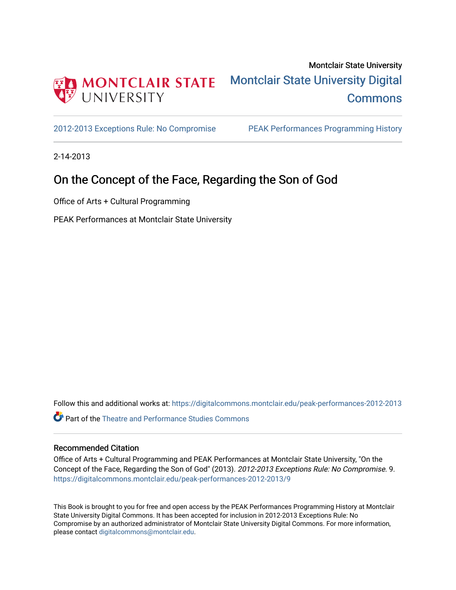

[2012-2013 Exceptions Rule: No Compromise](https://digitalcommons.montclair.edu/peak-performances-2012-2013) [PEAK Performances Programming History](https://digitalcommons.montclair.edu/peak-performances-programming-history) 

2-14-2013

### On the Concept of the Face, Regarding the Son of God

Office of Arts + Cultural Programming

PEAK Performances at Montclair State University

Follow this and additional works at: [https://digitalcommons.montclair.edu/peak-performances-2012-2013](https://digitalcommons.montclair.edu/peak-performances-2012-2013?utm_source=digitalcommons.montclair.edu%2Fpeak-performances-2012-2013%2F9&utm_medium=PDF&utm_campaign=PDFCoverPages) 

Part of the [Theatre and Performance Studies Commons](http://network.bepress.com/hgg/discipline/552?utm_source=digitalcommons.montclair.edu%2Fpeak-performances-2012-2013%2F9&utm_medium=PDF&utm_campaign=PDFCoverPages) 

#### Recommended Citation

Office of Arts + Cultural Programming and PEAK Performances at Montclair State University, "On the Concept of the Face, Regarding the Son of God" (2013). 2012-2013 Exceptions Rule: No Compromise. 9. [https://digitalcommons.montclair.edu/peak-performances-2012-2013/9](https://digitalcommons.montclair.edu/peak-performances-2012-2013/9?utm_source=digitalcommons.montclair.edu%2Fpeak-performances-2012-2013%2F9&utm_medium=PDF&utm_campaign=PDFCoverPages) 

This Book is brought to you for free and open access by the PEAK Performances Programming History at Montclair State University Digital Commons. It has been accepted for inclusion in 2012-2013 Exceptions Rule: No Compromise by an authorized administrator of Montclair State University Digital Commons. For more information, please contact [digitalcommons@montclair.edu.](mailto:digitalcommons@montclair.edu)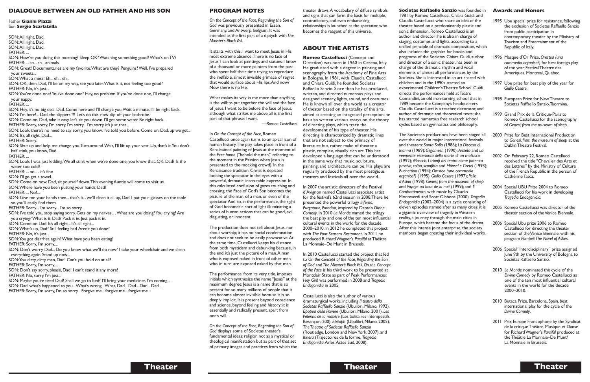#### **PROGRAM NOTES**

*On the Concept of the Face, Regarding the Son of God* was previously presented in Essen, Germany, andAntwerp, Belgium. It was intended as the first part of a diptych with*The Minister's BlackVeil.*

It starts with this. I want to meet Jesus in His most extreme absence.There is no face of Jesus. I can look at paintings and statues. I know of a thousand or more painters from the past who spent half their time trying to reproduce the ineffable, almost invisible grimace of regret that would surface about His lips.And now? Now there is no He.

What makes its way in me more than anything is the will: to put together the will and the face of Jesus. I want to be before the face of Jesus, although what strikes me above all is the first part of that phrase: I want.

*—Romeo Castellucci*

The production does not tell about Jesus, nor about worship; it has no social condemnation and does not seek to be easily provocative.At the same time, Castellucci keeps his distance from both mysticism and debunking because, in the end, it's just the picture of a man.A man who is exposed naked in front of other men who, in turn, are exposed naked by that man.

In *On the Concept of the Face,*Romeo Castellucci once again turns to an apical icon of human history.The play takes place in front of a Renaissance painting of Jesus at the moment of the *Ecce homo* ("behold the man," referring to the moment in the Passion when Jesus is presented to the mocking crowd). In the Renaissance tradition, Christ is depicted looking the spectator in the eyes with a powerful, dramatic, inscrutable expression. In this calculated confusion of gazes touching and crossing,the Face of God's Son becomes the picture of the man, of a man, or even of the spectator. And so, in the performance, the sight of God becomes a sort of light illuminating a series of human actions that can be good, evil, disgusting, or innocent.

The performance, from its very title, imposes initials which synthesize the name "Jesus" at the maximum degree; Jesus is a name that is so present for so many millions of people that it can become almost invisible because it is so deeply implicit. It is present beyond conscience and science, beyond feeling and history; it is essentially and radically present, apart from one's will.

*On the Concept of the Face, Regarding the Son of God* displays some of Socìetas theater's fundamental ideas: religion not as a mystical or theological manifestation but as part of that set of primary images and practices from which the theater draws.A vocabulary of diffuse symbols and signs that can form the basis for multiple, contradictory, and even embarassing relationships is launched at the spectator, who becomes the reagent of this universe.

#### **ABOUT THE ARTISTS**

**Romeo Castellucci** (Concept and Direction) was born in 1960 in Cesena, Italy. He graduated with a degree in painting and scenography from the Academy of Fine Arts in Bologna. In 1981, with Claudia Castellucci and Chiara Guidi, he founded Socìetas Raffaello Sanzio. Since then he has produced, written, and directed numerous plays and designed scenery, lights, sound, and costumes. He is known all over the world as a creator of theater based on the totality of the arts, aimed at creating an integrated perception; he has also written various essays on the theory of directing plays, which trace the development of his type of theater. His directing is characterized by dramatic lines that are not subject to the primacy of literature but, rather, make of theater a plastic, complex, visually rich art.This has developed a language that can be understood in the same way that music, sculpture, painting, and architecture can be. His plays are regularly produced by the most prestigious theaters and festivals all over the world.

In 2007 the artistic directors of the Festival d'Avignon named Castellucci associate artist for the festival's 62nd season in 2008.There he presented the powerful trilogy *Inferno, Purgatorio, Paradiso,* inspired by Dante's *Divine Comedy*. In 2010 *Le Monde* named the trilogy the best play and one of the ten most influential cultural events in the world for the decade 2000–2010. In 2012 he completed this project with *The Four Seasons Restaurant*. In 2011 he produced RichardWagner's *Parsifal* atThéâtre La Monnaie–De Munt in Brussels.

In 2010 Castellucci started the project that led to *On the Concept of the Face, Regarding the Son of God* and*The Minster's BlackVeil.On the Concept of the Face* is his third work to be presented at Montclair State as part of Peak Performances: *Hey Girl!* was performed in 2008 and *Tragedia Endogonidia* in 2005.

Castellucci is also the author of various dramaturgical works, including *Il teatro della Socìetas Raffaello Sanzio* (Ubulibri,Milano, 1992), *Epopea della Polvere* (Ubulibri,Milano, 2001), *Les Pélerins de la matière* (Les Solitaires Intempestifs, Besançon, 200), *Epitaph* (Ubulibri, Milano, 2005), *TheTheatre of Socìetas Raffaello Sanzio* (Routledge, London and NewYork, 2007), and *Itinera* (Trajectoires de la forme, *Tragedia Endogonidia*,Arles,Actes Sud, 2008).

**Socìetas Raffaello Sanzio** was founded in 1981 by Romeo Castellucci, Chiara Guidi, and Claudia Castellucci, who share an idea of the theater based on a predominantly plastic and sonic dimension. Romeo Castellucci is an author and director; he is also in charge of staging, costumes, and lights, according to a unified principle of dramatic composition, which also includes the graphics for books and programs of the Socìetas. Chiara Guidi, author and director of a sonic theater, has been in charge of the dramatic rhythm and vocal elements of almost all performances by the Socìetas. She is interested in an art shared with children and in the 1990s started an experimental Children'sTheatre School.Guidi directs the performances held at Teatro Comandini, an old iron-turning school that in 1989 became the Company's headquarters. Claudia Castellucci is a teacher, decorator, and author of dramatic and theoretical texts; she has started numerous free research school cycles based on gymnastics and philosophy.

SON: All right, Dad. SON: All right, Dad. SON: All right, Dad. FATHER: ... SON: How're you doing this morning? Sleep OK?Watching something good?What's onTV? FATHER: ... an... an... animals. SON:Great! Documentaries are my favorite.What are they? Penguins?Well, I've prepared your sweets... SON:What a mess! Eh... eh... eh... SON: OK, then, Dad, I'll be on my way, see you later. What is it, not feeling too good? FATHER: No, it's just... SON: You've done one? You've done one? Hey, no problem. If you've done one, I'll change your nappy. FATHER: ... SON: Hey, it's no big deal. Dad. Come here and I'll change you. Wait a minute, I'll be right back. SON: I'm here!... Dad, the slippers!!!! Let's do this, now slip off your bathrobe. SON: Come on, Dad, take it easy, let's sit you down. I'll get some water. Be right back. FATHER: Sorry, sorry, I'm sorry, I'm sorry... I'm sorry, it's just that... SON: Look, there's no need to say sorry, you know. I've told you before. Come on, Dad, up we get... SON: It's all right, Dad... FATHER: Sorry. SON: Shut up and help me change you. Turn around. Wait, I'll lift up your vest. Up, that's it. You don't half stink, you know, Dad. FATHER: ... SON: Look, I was just kidding. We all stink when we've done one, you know that. OK, Dad? Is the water too cold? FATHER: ... no… it's fine SON: I'll go get a towel. SON: Come on now, Dad, sit yourself down. This evening Auntie will come to visit us. SON: Where have you been putting your hands, Dad? FATHER: ... No!... SON: Give me your hands then... that's it... we'll clean it all up, Dad, I put your glasses on the table so you'll easily find them. FATHER: Sorry... I'm sorry... I'm so sorry... SON: I've told you,stop saying sorry.Gets on my nerves…What are you doing?You crying?Are you crying?What is it,Dad? Pack it in. Just pack it in. SON: Come on Dad. It's all right... It's all right... SON: What's up, Dad? Still feeling bad. Aren't you done? FATHER: No, it's just... SON:You got diarrhea again?What have you been eating? FATHER: Sorry, I'm sorry.... SON:Don't worry,Dad...Do you know what we'll do now? I take your wheelchair and we clean everything again. Stand up now... SON: You dirty, dirty man, Dad! Can't you hold on at all? FATHER: Sorry, I'm sorry.... SON: Don't say sorry, please, Dad! I can't stand it any more! FATHER: No, sorry, I'm just... SON: Maybe you're tired Dad! Shall we go to bed? I'll bring your medicines, I'm coming... SON: Dad, what's happened to you...What's wrong...What, Dad... Dad... Dad... Dad... FATHER: Sorry, I'm sorry, I'm so sorry... Forgive me... forgive me... forgive me...

The Socìetas's productions have been staged all over the world in major international festivals and theaters: *Santa Sofia* (1986); *La Discesa di Inanna* (1989);*Gilgamesh* (1990); *Amleto* and *La veemente esteriorità della morte di un mollusco* (1992); *Masoch. I trionfi del teatro come potenza passiva,colpa,sconfitta* and *Hänsel e Gretel* (1993); *Buchettino* (1994);*Orestea (una commedia organica?)* (1995);*Giulio Cesare* (1997); *Pelle d'Asino* (1998);*Genesi, from the museum of sleep* and *Voyage au bout de la nuit* (1999); and *Il Combattimento*, with music by Claudio Monteverdi and Scott Gibbons (2000). *Tragedia Endogonidia* (2002–2004) is a cycle consisting of eleven episodes named after as many cities; it is a gigantic overview of tragedy inWestern reality, a journey through the main cities in Europe, which became the focus of the drama. After this intense joint enterprise, the society members began creating their individual works.

#### **Awards and Honors**

- 1995 Ubu special prize for resistance, following the exclusion of Socìetas Raffaello Sanzio from public participation in contemporary theater by the Ministry of Tourism and Entertainment of the Republic of Italy.
- 1996 Masque d'Or Prize,*Orestea (una commedia organica?)* for best foreign play of the year, FestivalTheatre des Ameriques, Montreal, Quebec.
- 1997 Ubu prize for best play of the year for *Giulio Cesare.*
- 1998 European Prize for NewTheatre to Socìetas Raffaello Sanzio,Taormina.
- 1999 Grand Prix de la Critique-Paris to Romeo Castellucci for the scenography of *Genesi, from the museum of sleep.*
- 2000 Prize for Best International Production to *Genesi, from the museum of sleep* at the DublinTheatre Festival.
- 2002 On February 22, Romeo Castellucci received the title "Chevalier desArts et des Lettres" by the Ministry of Culture of the French Republic in the person of Cathérine Tasca.
- 2004 Special UBU Prize 2004 to Romeo Castellucci for his work in developing *Tragedia Endogonidia.*
- 2005 Romeo Castellucci was director of the theater section of the Venice Biennale.
- 2006 Special Ubu prize 2006 to Romeo Castellucci for directing the theater section of the Venice Biennale, with his program *Pompeii:The Novel of Ashes*.
- 2006 Special "Interdisciplinary" prize assigned June 9th by the University of Bologna to Socìetas Raffaello Sanzio.
- 2010 *Le Monde* nominated the cycle of the *Divine Comedy* by Romeo Castellucci as one of the ten most influential cultural events in the world for the decade 2000–2010.
- 2010 Butaca Prize, Barcelona, Spain, best international play for the cycle of the *Divine Comedy*.
- 2011 Prix Europe Francophone by the Syndicat de la critique Théâtre, Musique et Danse for RichardWagner's *Parsifal* produced at theThéâtre La Monnaie–De Munt/ La Monnaie in Brussels.

### **Theater**

#### **DIALOGUE BETWEEN AN OLD FATHER AND HIS SON**

Father **Gianni Plazzi** Son **Sergio Scarlatella**